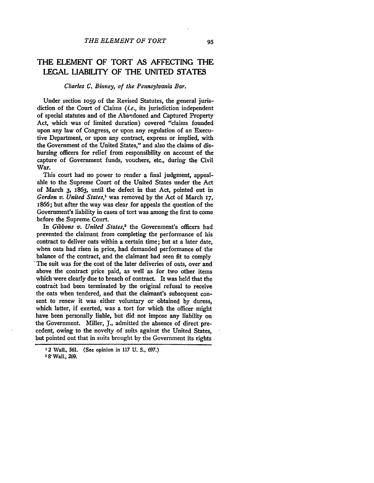## THE ELEMENT OF TORT AS AFFECTING THE **LEGAL** LIABILITY OF THE **UNITED STATES**

*Charles C. Binney, of the Pennsylvania Bar.*

Under section io59 of the Revised Statutes, the general jurisdiction of the Court of Claims *(i.e.,* its jurisdiction independent of special statutes and of the Abandoned and Captured Property Act, which was of limited duration) covered "claims founded upon any law of Congress, or upon any regulation of an Executive Department, or upon any contract, express or implied, with the Government of the United States," and also the claims of disbursing officers for relief from responsibility on account of the capture of Government funds, vouchers, etc., during the Civil War.

This court had no power to render a final judgment, appealable to the Supreme Court of the United States under the Act of March 3, 1863, until the defect in that Act, pointed out in *Gordon v. United States,"* was removed **by** the Act of March **17,** i866; but after the way was clear for appeals the question of the Government's liability in cases of tort was among the first to come before the Supreme Court.

In *Gibbons v. United States,2* the Government's officers had prevented the claimant from completing the performance of his contract to deliver oats within a certain time; but at a later date, when oats had risen in price, had demanded performance of the balance of the contract, and the claimant had seen fit to comply The suit was for the cost of the later deliveries of oats, over and above the contract price paid, as well as for two other items which were clearly due to breach of contract. It was held that the contrait had been terminated **by** the original refusal to receive the oats when tendered, and that the claimant's subsequent consent to renew it was either voluntary or obtained **by** duress, which latter, if exerted, was a tort for which the officer might have been personally liable, but did not impose any liability on the Government. Miller, **J.,** admitted the absence of direct precedent, owing to the novelty of suits against the United States, but pointed out that in suits brought **by** the Government its rights

<sup>&#</sup>x27;2 Wall., **561.** (See opinion in **117 U. S., 697.)** 2 **&** Wall., **269.**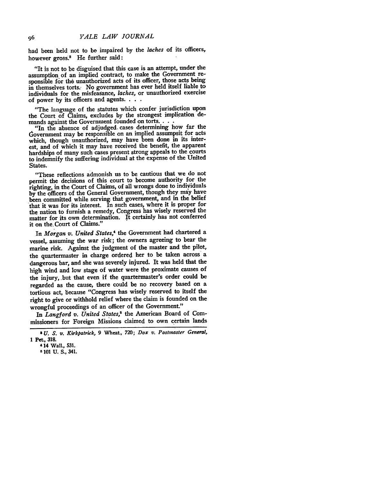had been held not to be impaired **by** the *laches* of its officers, however gross.<sup>8</sup> He further said:

"It is not to be disguised that this case is an attempt, under the assumption of an implied contract, to make the Government responsible for **the** unauthorized acts of its officer, those acts being in themselves torts. No government has ever held itself liable to individuals for the misfeasance, *laches,* or unauthorized exercise of power **by** its officers and agents **...**

"The language of the statutes which confer jurisdiction upon the Court of Claims, excludes **by** the strongest implication demands against the Government founded on torts...

"In the absence of adjudged. cases determining how far the Government may be responsible on an implied assumpsit for acts which, though unauthorized, may have been done in its interest, and of which it may have received the benefit, the apparent hardships of many such cases present strong appeals to the courts to indemnify the suffering individual at the expense of the United States.

"These reflections admonish us to be cautious that we do not permit the decisions of this court to become authority for the righting, in the Court of Claims, of all wrongs done to individuals **by** the officers of the General Government, though they may have been committed while serving, that government, and in the belief that it was for its interest. In such cases, where it is proper for the nation to furnish a remedy, Congress has wisely reserved the matter for its own determination. It certainly has not conferred it on the. Court of Claims."

In *Morgan v. United States*,<sup>4</sup> the Government had chartered a vessel, assuming the war risk; the owners agreeing to bear the marine risk. Against the judgment of the master and the pilot, the quartermaster in charge ordered her to be taken across a dangerous bar, and she was severely injured. It was held that the high wind and low stage of water were the proximate causes of the injury, but that even if the quartermaster's order could be regarded as the cause, there could be no recovery based on a tortious act, because "Congress has wisely reserved to itself the right to give or withhold relief where the claim is founded on the wrongful proceedings of an officer of the Government."

In *Langford v,. United States,'* the American Board of **Com**missioners for Foreign Missions claimed to own certain lands

*<sup>8</sup> U. S. v. Kirkpatrick, 9* Wheat., *720; Dox v. Postmaster General,* 1 Pet., **318.**

**<sup>4</sup>** 14 Wall., **531.**

**<sup>5 101</sup> U. S., 341.**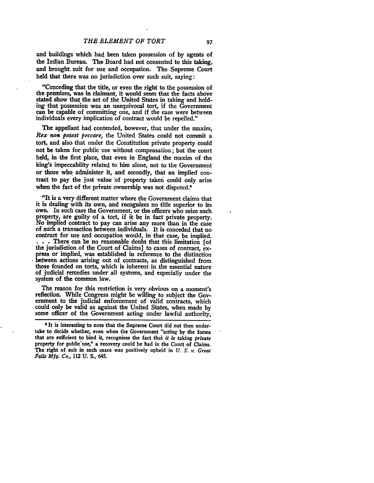and buildings which had been taken possession of **by** agents of the Indian Bureau. The Board had not consented to this taking, and brought. suit for use and occupation. The Supreme Court held that there was no jurisdiction over such suit, saying:

"Conceding that the title, or even the right to the possession of the premises, was in claimant, it would seem that the facts above stated show that the act of the United States in taking and holding that possession was an unequivocal tort, if the Government can be capable of committing one, and if the case were between individuals every implication of contract would be repelled."

The appellant had contended, however, that under the maxim, *Rex* **non** *potest peccare,* the United States could not commit a tort, and also that under the Constitution private property could not be taken for public use without compensation; but the court held, in the first place, that even in England the maxim of the king's impeccability related to him alone, not to the Government or those who administer it, and secondly, that an implied contract to pay the just value of property taken could only arise when the fact of the private ownership was not disputed.<sup>6</sup>

"It is a very different matter where the Government claims that it is dealing with its own, and recognizes no title superior to its own. In such case the Government, or the officers who seize such property, are guilty of a tort, if it **be** in fact private property. No implied contract to pay can arise any more than in the case of **stich** a transaction between individuals. It is conceded that no contract for use and occupation would, in that case, be implied. **. . .**There can be no reasonable doubt that this limitation [of the jurisdiction of the Court of Claims] to cases of contract, express or implied, was established in reference to the distinction between actions arising out of contracts, as distinguished from those founded on torts, which is inherent in the essential nature of judicial remedies.under all systems, and especially under the system of the common law.

The reason for this restriction is very obvious on a moment's reflection. While Congress might be willing to subject the Government to the judicial enforcement of valid contracts, which could only be valid as against the United States, when made **by** some officer of the Government acting under lawful authority,

**s** It is interesting to note that the Supreme Court did not then undertake to decide whether, even when the Government "acting **by** the forms that are sufficient to bind it, recognizes the fact thai it *is* taking *private* property for public'use," a recovery could be had in the Court of Claims. The right of suit in such cases was positively upheld in *U. S. v. Great Falls Mfg. Co.,* 112 **U. S.,** 645.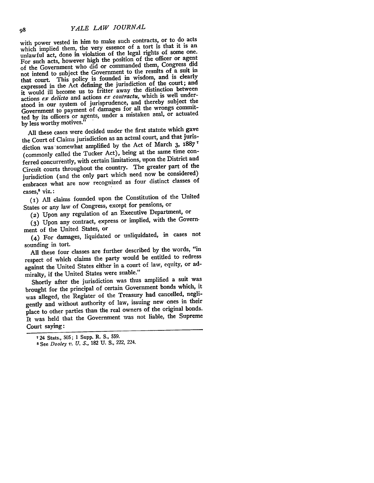with power vested in him to make such contracts, or to do acts which implied them, the very essence of a tort is that it is an unlawful act, done in violation of the legal rights of some one. For such acts, however high the position of the officer or agent of the Government who did or commanded them, Congress did not intend to subject the Government to the results of a suit in that court. This policy is founded in wisdom, and is clearly expressed in the Act defining the jurisdiction of the court; and it would ill become us to fritter away the distinction between actions ex *delicto* and actions *e.x* contractu, which is well understood in our system of jurisprudence, and thereby subject the Government to payment of damages for all the wrongs committed by its officers or agents, under a mistaken zeal, or actuated by less worthy motives."

**All** these cases were decided under the first statute which gave the Court of Claims jurisdiction as an actual court, and that jurisdiction was'somewhat amplified by the Act of March **3,** 1887 **<sup>1</sup>** (commonly called the Tucker Act), being at the same time conferred concurrently, with certain limitations, upon the District and Circuit courts throughout the country. The greater part of the jurisdiction (and the only part which need now be considered) embraces what are now recognized as four distinct classes of cases,<sup>8</sup> viz.:

**(i)** All claims founded upon the Constitution of the United States or any law of Congress, except for pensions, or

**(2)** Upon any regulation of an Executive Department, or

(3) Upon any contract, express or implied, with the Government of the United States, or

(4) For damages, liquidated or unliquidated, in cases not sounding in tort.

All these four classes are further described by the words, "in respect of which claims the party would be entitled to redress against the United States either in a court of law, equity, or admiralty, if the United States were suable."

Shortly after the jurisdiction was thus amplified a suit was brought for the principal of certain Government bonds which, it was alleged, the Register of the Treasury had cancelled, negligently and without authority of law, issuing new ones in their place to other parties than the real owners of the original bonds. It was held that the Government was not liable, the Supreme Court saying:

<sup>724</sup> Stats., **505;** 1 Supp. R. S., 559.

**<sup>8</sup>** See *Dooley v. U. S.,* 182 **U. S.,** 222, 224.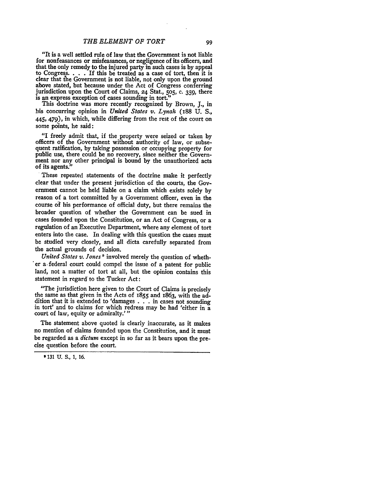"It is a well settled rule of law that the Government is not liable for nonfeasances or misfeasances, or negligence of its officers, and that the only remedy to the injured party in such cases is **by** appeal to Congress. . **.** . If this **be** treated as a case of tort, then **it** is clear that **the** Government is not liable, not only upon the ground above stated, but because under the Act of Congress conferring jurisdiction upon the Court of Claims, **24** Stat., **505,** c. **359,** there is an express exception of cases sounding in tort."

This doctrine was more recently recognized **by** Brown, **J.,** in his concurring opinion in *United States v. Lynah* (i88 **U. S.,** 445, 479), in which, while differing from the rest of the court on some points, he said:

"I freely admit that, if the property were seized or taken **by** officers of the Government without authority of law, or subsequent ratification, **by** taking possession or occupying property for public use, there could be no recovery, since neither the Government nor any other principal is bound **by** the unauthorized acts

These repeated statements of the doctrine make it perfectly clear that under the present jurisdiction of the courts, the Gov**ernment** cannot be held liable on a claim which exists solely **by** reason of a tort committed **by** a Government officer, even in the course **of** his performance of official duty, but there remains the broader question of whether the Government can be sued in cases founded upon the Constitution, or an Act of Congress, or a regulation of an Executive Department, where any element of tort enters into the case. In dealing with this question the cases must be studied very closely, and all dicta carefully separated from the actual grounds of decision.

*United States v. Jones 9* involved merely the question of whether **a.** federal court could compel the issue of a patent for public land, not a matter of tort at all, but the opinion contains this statement in regard to the Tucker Act:

"The jurisdiction here given to the Court of Claims is precisely the same as that given in the Acts of 1855 and 1863, with the addition that it is extended to 'damages . . . in cases not sounding in tort' and to claims for which redress may be had 'either in a court of law, equity or admiralty.'"

The statement above quoted is clearly inaccurate, as it makes no mention of claims founded upon the Constitution, and it must be regarded as a *dictum* except in so far as it bears upon the precise question before the court.

**<sup>9131</sup> U. S., 1, 16.**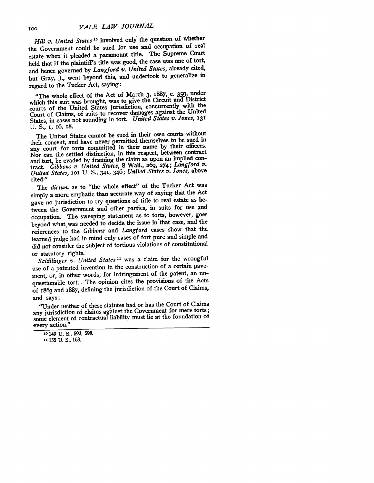Hill v. United States<sup>10</sup> involved only the question of whether the Government could **be** sued for use and occupation of real estate when it pleaded a paramount title. The Supreme Court held that if the plaintiff's title was good, the case was one of tort, and hence governed **by** *Langford v. United States,* already cited, but Gray, **J.,** went beyond this, and undertook to generalize in regard to the Tucker Act, saying:

"The whole effect of the Act of March **3, 1887, c. 359,** under which this suit was brought, was to give the Circuit and District courts of the United States jurisdiction, concurrently with the Court of Claims, of suits to recover damages against the United States, in cases not sounding in tort. *United States v. Jones, <sup>131</sup>* **U. S., 1,** 16, 18.

The United States cannot be sued in their own courts without their consent, and have never permitted themselves to be sued in any court for torts committed in their name by their officers. Nor can the settled distinction, in this respect, between contract and tort, be evaded by framing the claim as upon an implied contract. *Gibbons v. United States,* 8 Wall., **269, 274;** *Langford v. United States,* ioi **U.** S., 341, 346; *United States v. Jones,* above cited."

The *dictum* as to "the whole effect" of the Tucker Act was simply a more emphatic than accurate way of saying that the Act gave no jurisdiction to try questions of title to real estate as between the Government and other parties, in suits for use and occupation. The sweeping statement as to torts, however, goes beyond what was needed to decide the issue in that case, and the references **to** the *Gibbons* and *Langford* cases show that the learned judge had in mind only cases of tort pure and simple and did not consider the subject of tortious violations **of** constitutional or statutory rights.

*Schillinger v. United States 1'* was a claim for the wrongful use of a patented invention in the construction of a certain pavement, or, in other words, for infringement of the patent, an unquestionable tort. The opinion cites the provisions of the Acts of 1863 and 1887, defining the jurisdiction of the Court of Claims, and says:

"Under neither of these statutes had or has the Court of Claims any jurisdiction of claims against the Government for mere torts; some element of contractual liability must lie at the foundation of every action."

**<sup>10</sup>** 149 U. S., **593,** 598. **11155 U. S.,** 163.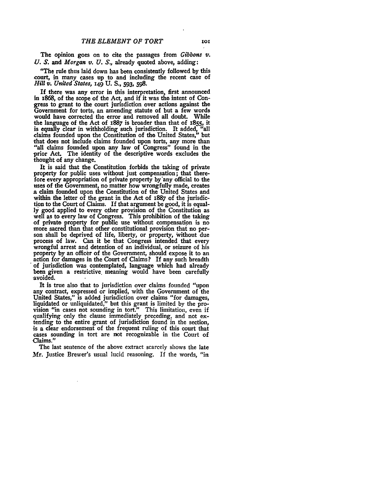The opinion goes on to cite the passages from *Gibbons v. U. S. and Morgan v. U. S.,* already quoted above, adding:

"The rule thus laid down has been consistently followed **by** this court, in many cases up to and including the recent case of *Hill v. United States,* **149 U. S., 593, 598.**

If there was any error in this interpretation, first announced in 1868, of the scope of the Act, and if it was the intent of Congress to grant to the court jurisdiction over actions against the Government for torts, an amending statute of but a few words would have corrected the error and removed all doubt. While the language of the Act of **x887** is broader than that of **1855,** it is equally clear in withholding such jurisdiction. It added, "all claims founded upon the Constitution of the United States," but that does not include claims founded upon torts, any more than "all claims founded upon any law of Congress" found in the prior Act. The identity of the descriptive words excludes the thought of any change.

It is said that the Constitution forbids the taking of private property for public uses without just compensation; that therefore every appropriation of private property by any official to the uses of the Government, no matter how wrongfully made, creates a claim founded upon the Constitution of the United States and within the letter of the grant in the Act of 1887 of the jurisdiction to the Court of Claims. If that argument be good, it is equal-<br>ly good applied to every other provision of the Constitution as<br>well as to every law of Congress. This prohibition of the taking of private property for public use without compensation is no more sacred than that other constitutional provision that no person **shall** be deprived of life, liberty, or property, Without due process of law. Can it be that Congress intended that every wrongful arrest and detention of an individual, or seizure of his property **by** an officer of the Government, should expose it to an action for damages in the Court of Claims? If any such breadth of jurisdiction was contemplated, language which had already been given a restrictive. meaning would have been carefully avoided.

It is true also that to jurisdiction over claims founded "upon any contract, expressed or implied, with the Government of the United States," is added jurisdiction over claims "for damages, liquidated or unliquidated," but this grant is limited by the provision "in cases not sounding in tort." This limitation, even if qualifying only the clause immediately preceding, and not extending to the entire grant of jurisdiction found in the section, is a clear endorsement of the frequent ruling of this court that cases sounding in tort are not recognizable in the Court of Claims."

The last sentence of the above extract scarcely shows the late Mr. Justice Brewer's usual lucid reasoning. If the words, "in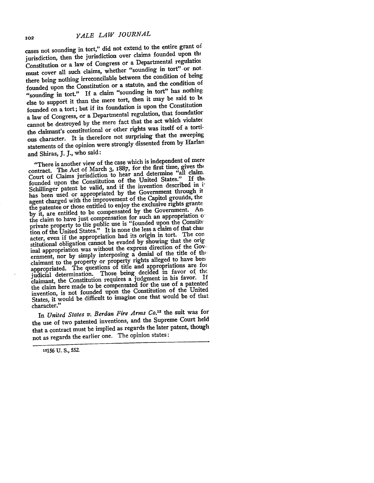**<sup>102</sup>***YALE LAW JOURNAL*

cases not sounding in tort," did not extend to the entire grant of jurisdiction, then the jurisdiction over claims founded upon the Constitution or a law of Congress or a Departmental regulatioi must cover all such claims, whether "sounding in tort" -or not. there being nothing irreconcilable between the condition of being founded upon the Constitution or a statute, and the condition of "sounding in tort." If a claim "sounding in tort" has nothing else to support it than the mere tort, then it may be said to be founded on a tort; but if its foundation is upon the Constitution a law of Congress, or a Departmental regulation, that foundatior cannot be destroyed by the mere fact that the act which violatec the claimant's constitutional or other rights was itself of a tortious character. It is therefore not surprising that the sweeping statements of the opinion were strongly dissented from by Harlan and Shiras, **J. J.,** who said:

"There is another view of the case which is independent of mere There is another view of the case when the first time, gives the<br>contract. The Act of March **3887**, for the first time, gives the Court of Claims jurisdiction to hear and determine **"all** claim. Founded upon the Constitution of the United States." If the<br>founded upon the Constitution of the invention described in i Schillinger patent be valid, and if the invention described in i has been used or appropriated by the Government through it agent charged with the improvement of the Capitol grounds, the the patentee or those entitled to enjoy the exclusive rights grante **by** it, are entitled to be compensated **by** the Government. An. the claim to have just compensation for such an appropriation o private property to the public use is "founded upon the Constitution private property to the public use is "founded upon the Constitu private property to the plant. It is none the less a claim of that char<br>tion of the United States." It is none the less a claim of that char acter, even if the appropriation had its origin in tort. The con stitutional obligation cannot be evaded **by** showing that the orig inal appropriation was without the express direction of the Gov. ernment, nor by simply interposing a denial of the title of the ernment, nor by simply interposing a denial of the title of the ernment, not by simply interpending rights alleged to have bee<br>claimant to the property or property rights alleged to have bee elaimant to the property of properties and appropriations are for<br>appropriated. The questions of the decided in favor of the appropriated. The questions of being decided in favor of the<br>judicial determination. Those being decided in favor of the claimant, the Constitution requires a judgment in his favor. If the claim here made to be compensated for the use of a patented invention, is not founded upon the Constitution of the United States, it would be difficult to imagine one that would be of that character."

In *United States v. Berdan Fire Arms Co.1<sup>2</sup>*the suit was for the use of two patented inventions, and the Supreme Court held that a contract must be implied as regards the later patent, though not as regards the earlier one. The opinion states:

**12156 U. S., 552.**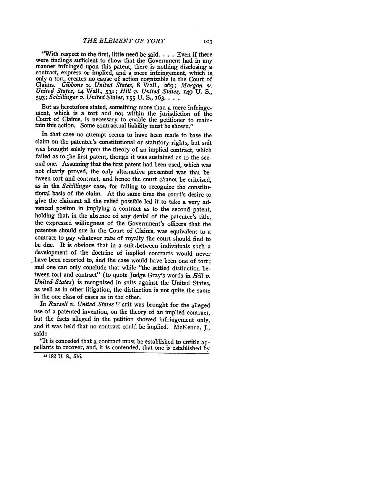"With respect to the first, little need be said. . . . Even if there were findings sufficient to show that the Government had in any manner infringed upon this patent, there is nothing disclosing a contract, express or implied, and a mere infringement, which is only a tort, creates no cause of action cognizable in the Court of Claims. *Gibbons v. United States,* 8 Wall., **269;** *Morgan v. United States,* 14 Wall., **531;** *Hill v. United States,* **I49 U. S.,** 593; *Schillinger v. United States,* 155 U. **S., I63 ...**

But as heretofore stated, something more than a mere infringe- ment, which is a tort and not within the jurisdiction of the Court of Claims, is necessary to enable the petitioner to maintain this action. Some contractual liability must be shown."

In that case no attempt seems to have been made to base the claim on the patentee's constitutional or statutory rights, but suit was brought solely upon the theory of an implied contract, which failed as to the first patent, though it was sustained as to the second one. Assuming that the first patent had been used, which was not dearly proved, the only alternative presented was that between tort and contract, and hence the court cannot be critcised, as in the *Schillinger* case, for failing to recognize the constitutional basis of the claim. At the same time the court's desire to give the claimant all the relief possible led it to take a very advanced positon in implying a contract as to the second patent, holding that, in the absence of any denial of the patentee's title, the expressed willingness of the Government's officers that the patentee should sue in the Court of Claims, was equivalent to a contract to pay whatever rate of royalty the court should find to be due. It is obvious that in a suit.between individuals such a development of the doctrine of implied contracts would never have been resorted to, ind the case would have been one of tort; and one can only conclude that while "the settled distinction between tort and contract" (to quote Judge Gray's words in *Hill v. United States)* is recognized in suits against the United States, as well as in other litigation, the distinction is not quite the same in the one class of cases as in the other.

In *Russell v. United States* **'3** suit was brought for the alleged use of a patented invention, on the theory of an implied contract, but the facts alleged in the petition showed infringement only, and it was held that no contract could be implied. McKenna, *J.,* said:

"It is conceded that a contract must be established to entitle ap- pellants to recover, and, it is contended, that one is established by

**is 182 U. S., 516.**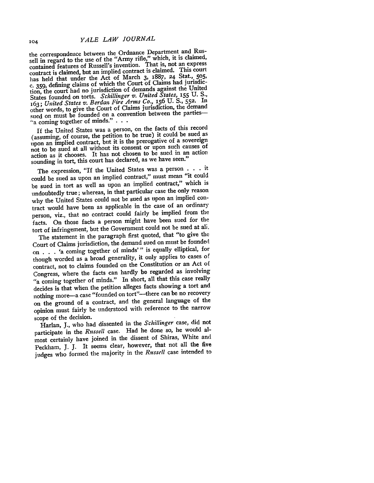the correspondence between the Ordnance Department and Russell in regard to the use of the "Army rifle," which, it is claimed, contained features of Russell's invention. That is, not an express contract is claimed, but an implied contract is claimed. This court has held that under the Act of March 3, 1887, 24 Stat., 505 nas include that and the solution of claims had jurisdic-<br>c. 359, defining claims of which the Court of Claims had jurisdiction, the court had no jurisdiction of demands against the United States founded on torts. *Schillinger v. United States,* **155** U. S., 163; *United States v. Berdan Fire Arms Co.,* i56 U. **S., 552.** In other words, to give the Court of Claims jurisdiction, the demand sued on must be founded on a convention between the parties- "a coming together of minds." **. . .**

If the United States was a person, on the facts of this record (assuming, of course, the petition to be true) it could be sued as upon an implied contract, but it is the prerogative of a sovereign not to be sued at all without its consent or upon such causes of action as it chooses. It has not chosen to be sued in an action sounding in tort, this court has declared, as we have seen."

The expression, "If the United States was a person . . **.** it could be sued as upon an implied contract," must mean "it could be sued in tort as well as upon an implied contract," which is undoubtedly true; whereas, in that particular case the only reason why the United States could not be sued as upon an implied contract would have been as applicable in the case of an ordinary person, viz., that no contract could fairly be implied from the facts. On those facts a person might have been sued for the tort of infringement, but the Government could not be sued at ali.

The statement in the paragraph first quoted, that "to give the Court of Claims jurisdiction, the demand sued on must be founded on . . **.** 'a coming together of minds'" is equally elliptical, for though worded as a broad generality, it only applies to cases of contract, not to claims founded on the Constitution or an Act of Congress, where the facts can hardly be regarded as involving *"a* coming together of minds." In short, all that this case really decides is that when the petition alleges facts showing a tort and nothing more-a case "founded on tort"--there can be no recovery on the ground of a contract, and the general language of the opinion must fairly be understood with reference to the narrow scope of the decision.

Harlan, J., who had dissented in the *Schillinger* case, did not participate in the *Russell* case. Had he done so, he would almost certainly have joined in the dissent of Shiras, White and Peckham, J. J. It seems clear, however, that not all the five judges who formed the majority in the *Russell* case intended to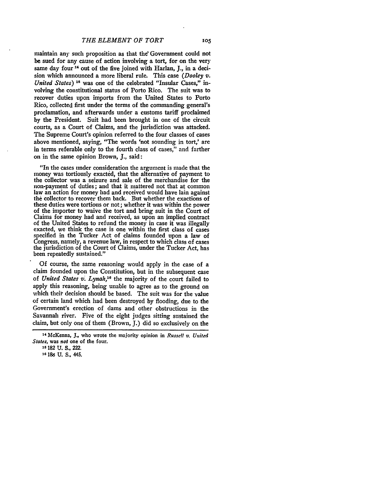maintain any such proposition as that the Government could not be sued for any cause of action involving a tort, for on the very same day four<sup>14</sup> out of the five joined with Harlan, J., in a decision which announced a more liberal rule. This case *(Dooley v. United States) 15* was one of the celebrated "Insular Cases," involving the constitutional status of Porto Rico. The suit was to recover duties upon imports from the United States to Porto Rico, collected first under the terms of the commanding general's proclamation, and afterwards under a customs tariff proclaimed by the President. Suit had been brought in one of the circuit courts, as a Court of Claims, and the jurisdiction was attacked. The Supreme Court's opinion referred to the four classes of cases above mentioned, saying, "The words 'not sounding in tort,' are in terms referable only to the fourth class of cases," and farther on in the same opinion Brown, J., said:

"In the cases under consideration the argument is made that the money was tortiously exacted, that the alternative of payment to the collector was a seizure and sale of the merchandise for the non-payment of duties; and that it mattered not that at common law an action for money had and received would have lain against the collector to recover them back. But whether the exactions of these duties were tortious or not; whether it was within the power of the importer to waive the tort and bring suit in the Court of Claims for money had and received, as upon an implied contract of the United States to refund the money in case it was illegally exacted, we think the case is one within the first class of cases specified in the Tucker Act of claims founded upon a law of Congress, namely, a revenue law, in respect to which class of cases the jurisdiction of the Court of Claims, under the Tucker Act, has been repeatedly sustained."

**Of** course, the same reasoning would apply in the case of a claim founded upon the Constitution, but in the subsequent case of *United States v. Lynah*,<sup>16</sup> the majority of the court failed to apply this reasoning, being unable to agree as to the ground on which their decision should be based. The suit was for the value of certain land which had been destroyed **by** flooding, due to the Government's erection of dams and other obstructions in the Savannah river. Five of the eight judges sitting sustained the claim, but only one of them (Brown, **J.)** did so exclusively on the

**10 188 U. S.,** 445.

**<sup>14</sup>**McKenna, *J.,* who wrote the majority opinion in *Russell v. United States,* was *not* one of the four.

**<sup>15 182</sup> U. S.,** 222.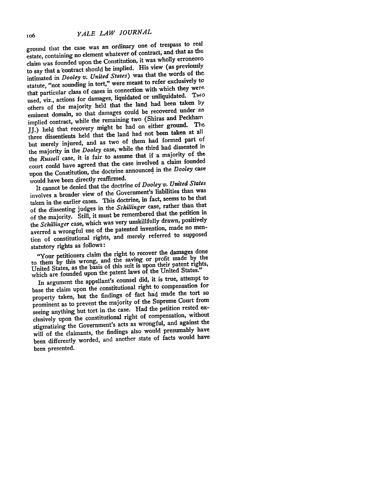ground that the case was an ordinary one of trespass to real estate, containing no element whatever of contract, and that as the claim was founded upon the Constitution, it was wholly erroneous to say that a 'contract should be implied. His view (as previously intimated in *Dooley v. United States)* was that the words of the statute, "not sounding in tort," were meant to refer exclusively to that particular class of cases in connection with which they were used, viz., actions for damages, liquidated or unliquidated. Two others of the majority held that the land had been taken by eminent domain, so that damages could be recovered under an implied contract, while the remaining two (Shiras and Peckham JJ.) held that recovery might be had on either ground. The three dissentients held that the land had not been taken at all but merely injured, and as two **of** them had formed part of the majority in the *Dooley* case, while the third had dissented in the *Russell* case, it is fair to assume that if a majority of the court could have agreed that the case involved a claim founded upon the Constitution, the doctrine announced in the *Dooley* case would have been directly reaffirmed.

It cannot be denied that the doctrine of *Dooley v. United States* involves a broader view of the Government's liabilities than was taken in the earlier cases. This doctrine, in fact, seems to be that of the dissenting judges in the *Schillinger* case, rather than that of the majority. Still, it must be remembered that the petition in the *Schillinger* case, which was very unskillfully drawn, positively averred a wrongful use of the patented invention, made no mention of constitutional rights, and merely referred to supposed statutory rights as follows:

"Your petitioners claim the right to recover the damages done to them **by** this wrong, and the saving or profit made **by** the United States, as the basis of this suit is upon their patent rights, which are founded upon the patent laws of the United States."

In argument the appellant's counsel did, it is true, attempt to base the claim upon the constitutional right to compensation for property taken, but the findings of fact had made the tort so prominent as to prevent the majority of the Supreme Court from seeing anything but tort in .the case. Had the petition rested exclusively upon the constitutional right of compensation, without stigmatizing the Government's acts as wrongful, and against the will of the claimants, the findings also would presumably have been differently worded, and another state of facts would have been presented.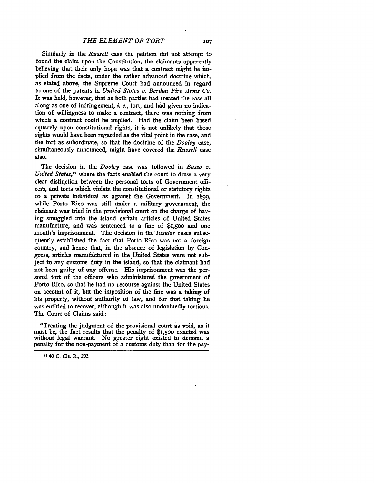Similarly in the *Russell* case the petition did not attempt to found the claim upon the Constitution, the claimants apparently believing that their only hope was that a contract might be implied from the facts, under the rather advanced doctrine which, as stated above, the Supreme Court had announced in regard to one of the patents in *United States v. Berdan Fire Arms Co.* It was held, however, that as both parties had treated the case all along as one of infringement, *i. e.,* tort, and had given no indication of willingness to make a contract, there was nothing from which a contract could be implied. Had the claim been based squarely upon constitutional rights, it is not unlikely that those rights would have been regarded as the vital point in the case, and the tort as subordinate, so that the doctrine of the *Dooley* case, simultaneously announced, might have covered the *Russell* case also.

The decision in the *Dooley* case was followed in *Basso v. United States,1 "* where the facts enabled the court to draw a very clear distinction between the personal torts of Government officers, and torts which violate the constitutional or statutory rights of a private individual as against the Government. In **1899,** while Porto Rico was still under a military government, the claimant was tried in the provisional court on the charge of having smuggled into the island certain articles of United States manufacture, and was sentenced to a fine of **\$I,5oo** and one month's imprisonment. The decision in the *Insular* cases subsequently established the fact that Porto Rico was not a foreign country, and hence that, in the absence of legislation **by** Congress, articles manufactured in the United States were not subject to any customs duty in the island, so that the claimant had not been guilty of any offense. His imprisonment was the personal tort of the officers who administered the government of Porto Rico, so that he had no recourse against the United States on account of it, but the imposition of the fine was a taking of his property, without authority of law, and for that taking he was entitled to recover, although it was also undoubtedly tortious. The Court of Claims said:

"Treating the judgment of the provisional court as void, as it must be, the fact results that the penalty **of** \$45oo exacted was without legal warrant. No greater right existed to demand a penalty for the non-payment of a customs duty than for the pay-

**<sup>17 40</sup> C.** Cis. R., 202.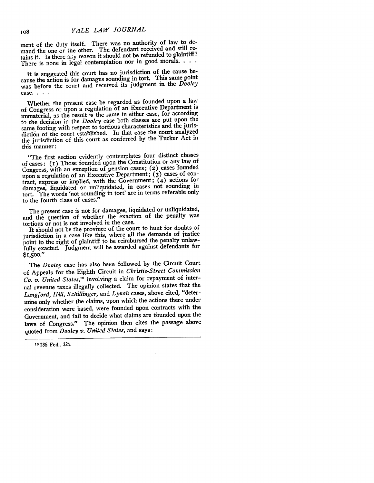ment of the duty itself. There was no authority of law to **de**mand the one cr the other. The defendant received and still retains it. Is there a,y reason it should not be refunded to plaintiff? There is none in legal contemplation nor in good morals. . . .

It is suggested this court has no jurisdiction of the cause because the action is for damages sounding in tort. This same point was before the court and received its judgment in the *Dooley* case **...**

Whether the present case be regarded as founded upon a law of Congress or upon a regulation of an Executive Department is immaterial, as the result **;s** the same in either case, for according to the decision in the *Dooley* case both classes are put upon the same footing with respect to tortious characteristics and the jurisdiction of the court established. In that case the court analyzed the jurisdiction of this court as conferred **by** the Tucker Act in this manner:

"The first section evidently contemplates four distinct classes of cases: (i) Those founded upon the Constitution or any law of Congress, with an exception of pension cases; **(2)** cases founded upon a regulation of an Executive Department; **(3)** cases of contract, express or implied, with the Government; (4) actions for damages, liquidated or unliquidated, in cases not sounding in tort. The words 'not sounding in tort' are in terms referable only to the fourth class of cases."

The present case is not for damages, liquidated or unliquidated, and the question of whether the exaction of the penalty was tortious or not is not involved in the case.

It should not be the province of the court to hunt for doubts of jurisdiction in a case like this, where all the demands of justice point to the right of plaintiff to be reimbursed the penalty unlawfully exacted. Judgment will be awarded against defendants for **\$1,500."**

The *Dooley* case has also been followed **by** the Circuit Court of Appeals for the Eighth Circuit in *Christie-Street Commission Co. v. United States,"'* involving a claim for repayment of internal revenue taxes illegally collected. The opinion states that the *Langford, Hill, Scizillingcr,* and *Lynah* cases, above cited, "determine only whether the claims, upon which the actions there under consideration were based, were founded upon contracts with the Government, and fail to decide what claims are founded upon the laws of Congress." The opinion then cites the passage above quoted from *Dooley* v. *United States,* and says:

**<sup>1</sup>s 136** Fed., **326.**